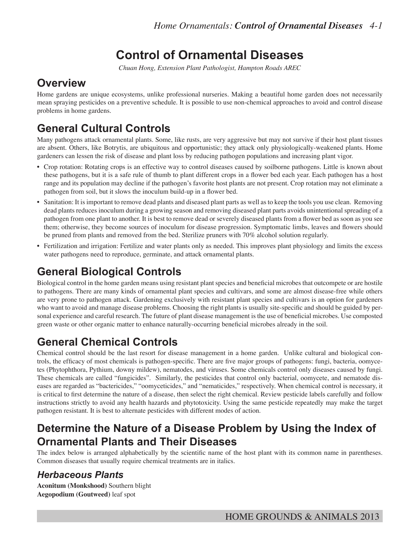# **Control of Ornamental Diseases**

*Chuan Hong, Extension Plant Pathologist, Hampton Roads AREC*

## **Overview**

Home gardens are unique ecosystems, unlike professional nurseries. Making a beautiful home garden does not necessarily mean spraying pesticides on a preventive schedule. It is possible to use non-chemical approaches to avoid and control disease problems in home gardens.

# **General Cultural Controls**

Many pathogens attack ornamental plants. Some, like rusts, are very aggressive but may not survive if their host plant tissues are absent. Others, like Botrytis, are ubiquitous and opportunistic; they attack only physiologically-weakened plants. Home gardeners can lessen the risk of disease and plant loss by reducing pathogen populations and increasing plant vigor.

- Crop rotation: Rotating crops is an effective way to control diseases caused by soilborne pathogens. Little is known about these pathogens, but it is a safe rule of thumb to plant different crops in a flower bed each year. Each pathogen has a host range and its population may decline if the pathogen's favorite host plants are not present. Crop rotation may not eliminate a pathogen from soil, but it slows the inoculum build-up in a flower bed.
- Sanitation: It is important to remove dead plants and diseased plant parts as well as to keep the tools you use clean. Removing dead plants reduces inoculum during a growing season and removing diseased plant parts avoids unintentional spreading of a pathogen from one plant to another. It is best to remove dead or severely diseased plants from a flower bed as soon as you see them; otherwise, they become sources of inoculum for disease progression. Symptomatic limbs, leaves and flowers should be pruned from plants and removed from the bed. Sterilize pruners with 70% alcohol solution regularly.
- Fertilization and irrigation: Fertilize and water plants only as needed. This improves plant physiology and limits the excess water pathogens need to reproduce, germinate, and attack ornamental plants.

# **General Biological Controls**

Biological control in the home garden means using resistant plant species and beneficial microbes that outcompete or are hostile to pathogens. There are many kinds of ornamental plant species and cultivars, and some are almost disease-free while others are very prone to pathogen attack. Gardening exclusively with resistant plant species and cultivars is an option for gardeners who want to avoid and manage disease problems. Choosing the right plants is usually site-specific and should be guided by personal experience and careful research. The future of plant disease management is the use of beneficial microbes. Use composted green waste or other organic matter to enhance naturally-occurring beneficial microbes already in the soil.

# **General Chemical Controls**

Chemical control should be the last resort for disease management in a home garden. Unlike cultural and biological controls, the efficacy of most chemicals is pathogen-specific. There are five major groups of pathogens: fungi, bacteria, oomycetes (Phytophthora, Pythium, downy mildew), nematodes, and viruses. Some chemicals control only diseases caused by fungi. These chemicals are called "fungicides". Similarly, the pesticides that control only bacterial, oomycete, and nematode diseases are regarded as "bactericides," "oomyceticides," and "nematicides," respectively. When chemical control is necessary, it is critical to first determine the nature of a disease, then select the right chemical. Review pesticide labels carefully and follow instructions strictly to avoid any health hazards and phytotoxicity. Using the same pesticide repeatedly may make the target pathogen resistant. It is best to alternate pesticides with different modes of action.

## **Determine the Nature of a Disease Problem by Using the Index of Ornamental Plants and Their Diseases**

The index below is arranged alphabetically by the scientific name of the host plant with its common name in parentheses. Common diseases that usually require chemical treatments are in italics.

### *Herbaceous Plants*

**Aconitum (Monkshood)** Southern blight **Aegopodium (Goutweed)** leaf spot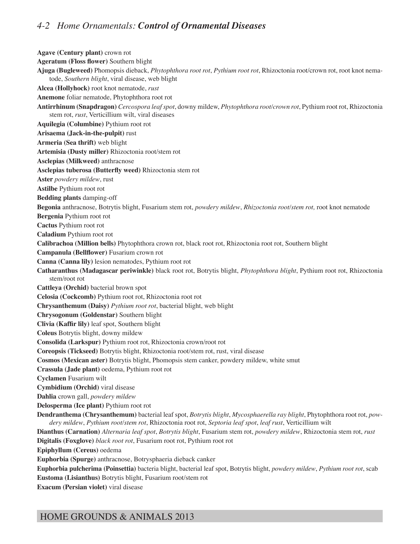#### *4-2 Home Ornamentals: Control of Ornamental Diseases*

**Agave (Century plant)** crown rot **Ageratum (Floss flower)** Southern blight **Ajuga (Bugleweed)** Phomopsis dieback, *Phytophthora root rot*, *Pythium root rot*, Rhizoctonia root/crown rot, root knot nematode, *Southern blight*, viral disease, web blight **Alcea (Hollyhock)** root knot nematode, *rust* **Anemone** foliar nematode, Phytophthora root rot **Antirrhinum (Snapdragon)** *Cercospora leaf spot*, downy mildew, *Phytophthora root/crown rot*, Pythium root rot, Rhizoctonia stem rot, *rust*, Verticillium wilt, viral diseases **Aquilegia (Columbine)** Pythium root rot **Arisaema (Jack-in-the-pulpit)** rust **Armeria (Sea thrift)** web blight **Artemisia (Dusty miller)** Rhizoctonia root/stem rot **Asclepias (Milkweed)** anthracnose **Asclepias tuberosa (Butterfly weed)** Rhizoctonia stem rot **Aster** *powdery mildew*, rust **Astilbe** Pythium root rot **Bedding plants** damping-off **Begonia** anthracnose, Botrytis blight, Fusarium stem rot, *powdery mildew*, *Rhizoctonia root/stem rot,* root knot nematode **Bergenia** Pythium root rot **Cactus** Pythium root rot **Caladium** Pythium root rot **Calibrachoa (Million bells)** Phytophthora crown rot, black root rot, Rhizoctonia root rot, Southern blight **Campanula (Bellflower)** Fusarium crown rot **Canna (Canna lily)** lesion nematodes, Pythium root rot **Catharanthus (Madagascar periwinkle)** black root rot, Botrytis blight, *Phytophthora blight*, Pythium root rot, Rhizoctonia stem/root rot **Cattleya (Orchid)** bacterial brown spot **Celosia (Cockcomb)** Pythium root rot, Rhizoctonia root rot **Chrysanthemum (Daisy)** *Pythium root rot*, bacterial blight, web blight **Chrysogonum (Goldenstar)** Southern blight **Clivia (Kaffir lily)** leaf spot, Southern blight **Coleus** Botrytis blight, downy mildew **Consolida (Larkspur)** Pythium root rot, Rhizoctonia crown/root rot **Coreopsis (Tickseed)** Botrytis blight, Rhizoctonia root/stem rot, rust, viral disease **Cosmos (Mexican aster)** Botrytis blight, Phomopsis stem canker, powdery mildew, white smut **Crassula (Jade plant)** oedema, Pythium root rot **Cyclamen** Fusarium wilt **Cymbidium (Orchid)** viral disease **Dahlia** crown gall, *powdery mildew* **Delosperma (Ice plant)** Pythium root rot **Dendranthema (Chrysanthemum)** bacterial leaf spot, *Botrytis blight*, *Mycosphaerella ray blight*, Phytophthora root rot, *powdery mildew*, *Pythium root/stem rot*, Rhizoctonia root rot, *Septoria leaf spot*, *leaf rust*, Verticillium wilt **Dianthus (Carnation)** *Alternaria leaf spot*, *Botrytis blight*, Fusarium stem rot, *powdery mildew*, Rhizoctonia stem rot, *rust* **Digitalis (Foxglove)** *black root rot*, Fusarium root rot, Pythium root rot **Epiphyllum (Cereus)** oedema **Euphorbia (Spurge)** anthracnose, Botrysphaeria dieback canker **Euphorbia pulcherima (Poinsettia)** bacteria blight, bacterial leaf spot, Botrytis blight, *powdery mildew*, *Pythium root rot*, scab **Eustoma (Lisianthus)** Botrytis blight, Fusarium root/stem rot **Exacum (Persian violet)** viral disease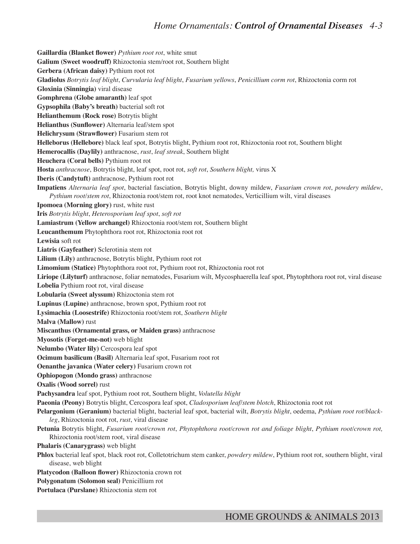**Gaillardia (Blanket flower)** *Pythium root rot*, white smut **Galium (Sweet woodruff)** Rhizoctonia stem/root rot, Southern blight **Gerbera (African daisy)** Pythium root rot **Gladiolus** *Botrytis leaf blight*, *Curvularia leaf blight*, *Fusarium yellows*, *Penicillium corm rot*, Rhizoctonia corm rot **Gloxinia (Sinningia)** viral disease **Gomphrena (Globe amaranth)** leaf spot **Gypsophila (Baby's breath)** bacterial soft rot **Helianthemum (Rock rose)** Botrytis blight **Helianthus (Sunflower)** Alternaria leaf/stem spot **Helichrysum (Strawflower)** Fusarium stem rot **Helleborus (Hellebore)** black leaf spot, Botrytis blight, Pythium root rot, Rhizoctonia root rot, Southern blight **Hemerocallis (Daylily)** anthracnose, *rust*, *leaf streak*, Southern blight **Heuchera (Coral bells)** Pythium root rot **Hosta** *anthracnose*, Botrytis blight, leaf spot, root rot, *soft rot*, *Southern blight,* virus X **Iberis (Candytuft)** anthracnose, Pythium root rot **Impatiens** *Alternaria leaf spot*, bacterial fasciation, Botrytis blight, downy mildew, *Fusarium crown rot*, *powdery mildew*, *Pythium root/stem rot*, Rhizoctonia root/stem rot, root knot nematodes, Verticillium wilt, viral diseases **Ipomoea (Morning glory)** rust, white rust **Iris** *Botrytis blight*, *Heterosporium leaf spot*, *soft rot* **Lamiastrum (Yellow archangel)** Rhizoctonia root/stem rot, Southern blight **Leucanthemum** Phytophthora root rot, Rhizoctonia root rot **Lewisia** soft rot **Liatris (Gayfeather)** Sclerotinia stem rot **Lilium (Lily)** anthracnose, Botrytis blight, Pythium root rot **Limomium (Statice)** Phytophthora root rot, Pythium root rot, Rhizoctonia root rot **Liriope (Lilyturf)** anthracnose, foliar nematodes, Fusarium wilt, Mycosphaerella leaf spot, Phytophthora root rot, viral disease **Lobelia** Pythium root rot, viral disease **Lobularia (Sweet alyssum)** Rhizoctonia stem rot **Lupinus (Lupine)** anthracnose, brown spot, Pythium root rot **Lysimachia (Loosestrife)** Rhizoctonia root/stem rot, *Southern blight* **Malva (Mallow)** rust **Miscanthus (Ornamental grass, or Maiden grass)** anthracnose **Myosotis (Forget-me-not)** web blight **Nelumbo (Water lily)** Cercospora leaf spot **Ocimum basilicum (Basil)** Alternaria leaf spot, Fusarium root rot **Oenanthe javanica (Water celery)** Fusarium crown rot **Ophiopogon (Mondo grass)** anthracnose **Oxalis (Wood sorrel)** rust **Pachysandra** leaf spot, Pythium root rot, Southern blight, *Volutella blight* **Paeonia (Peony)** Botrytis blight, Cercospora leaf spot, *Cladosporium leaf/stem blotch*, Rhizoctonia root rot **Pelargonium (Geranium)** bacterial blight, bacterial leaf spot, bacterial wilt, *Botrytis blight*, oedema, *Pythium root rot/blackleg*, Rhizoctonia root rot, *rust*, viral disease **Petunia** Botrytis blight, *Fusarium root/crown rot*, *Phytophthora root/crown rot and foliage blight*, *Pythium root/crown rot,* Rhizoctonia root/stem root, viral disease **Phalaris (Canarygrass)** web blight **Phlox** bacterial leaf spot, black root rot, Colletotrichum stem canker, *powdery mildew*, Pythium root rot, southern blight, viral disease, web blight **Platycodon (Balloon flower)** Rhizoctonia crown rot **Polygonatum (Solomon seal)** Penicillium rot **Portulaca (Purslane)** Rhizoctonia stem rot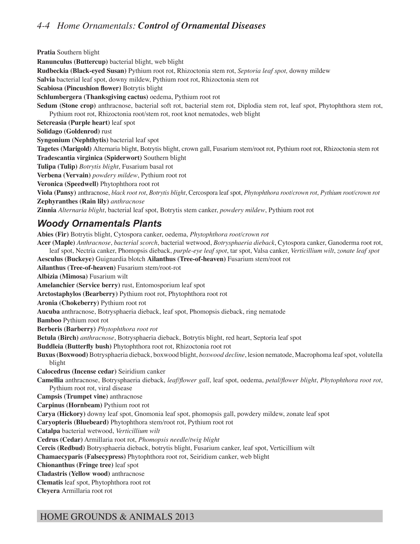### *4-4 Home Ornamentals: Control of Ornamental Diseases*

**Pratia** Southern blight **Ranunculus (Buttercup)** bacterial blight, web blight **Rudbeckia (Black-eyed Susan)** Pythium root rot, Rhizoctonia stem rot, *Septoria leaf spot,* downy mildew **Salvia** bacterial leaf spot, downy mildew, Pythium root rot, Rhizoctonia stem rot **Scabiosa (Pincushion flower)** Botrytis blight **Schlumbergera (Thanksgiving cactus)** oedema, Pythium root rot **Sedum (Stone crop)** anthracnose, bacterial soft rot, bacterial stem rot, Diplodia stem rot, leaf spot, Phytophthora stem rot, Pythium root rot, Rhizoctonia root/stem rot, root knot nematodes, web blight **Setcreasia (Purple heart)** leaf spot **Solidago (Goldenrod)** rust **Syngonium (Nephthytis)** bacterial leaf spot **Tagetes (Marigold)** Alternaria blight, Botrytis blight, crown gall, Fusarium stem/root rot, Pythium root rot, Rhizoctonia stem rot **Tradescantia virginica (Spiderwort)** Southern blight **Tulipa (Tulip)** *Botrytis blight*, Fusarium basal rot **Verbena (Vervain)** *powdery mildew*, Pythium root rot **Veronica (Speedwell)** Phytophthora root rot **Viola (Pansy)** anthracnose, *black root rot*, *Botrytis blight*, Cercospora leaf spot, *Phytophthora root/crown rot*, *Pythium root/crown rot* **Zephyranthes (Rain lily)** *anthracnose* **Zinnia** *Alternaria blight*, bacterial leaf spot, Botrytis stem canker, *powdery mildew*, Pythium root rot *Woody Ornamentals Plants*

**Abies (Fir)** Botrytis blight, Cytospora canker, oedema, *Phytophthora root/crown rot* **Acer (Maple)** *Anthracnose*, *bacterial scorch*, bacterial wetwood, *Botrysphaeria dieback*, Cytospora canker, Ganoderma root rot, leaf spot, Nectria canker, Phomopsis dieback, *purple-eye leaf spot*, tar spot, Valsa canker, *Verticillium wilt*, *zonate leaf spot* **Aesculus (Buckeye)** Guignardia blotch **Ailanthus (Tree-of-heaven)** Fusarium stem/root rot **Ailanthus (Tree-of-heaven)** Fusarium stem/root-rot **Albizia (Mimosa)** Fusarium wilt **Amelanchier (Service berry)** rust, Entomosporium leaf spot **Arctostaphylos (Bearberry)** Pythium root rot, Phytophthora root rot **Aronia (Chokeberry)** Pythium root rot **Aucuba** anthracnose, Botrysphaeria dieback, leaf spot, Phomopsis dieback, ring nematode **Bamboo** Pythium root rot **Berberis (Barberry)** *Phytophthora root rot* **Betula (Birch)** *anthracnose*, Botrysphaeria dieback, Botrytis blight, red heart, Septoria leaf spot **Buddleia (Butterfly bush)** Phytophthora root rot, Rhizoctonia root rot **Buxus (Boxwood)** Botrysphaeria dieback, boxwood blight, *boxwood decline*, lesion nematode, Macrophoma leaf spot, volutella blight **Calocedrus (Incense cedar)** Seiridium canker **Camellia** anthracnose, Botrysphaeria dieback, *leaf/flower gall*, leaf spot, oedema, *petal/flower blight*, *Phytophthora root rot*, Pythium root rot, viral disease **Campsis (Trumpet vine)** anthracnose **Carpinus (Hornbeam)** Pythium root rot **Carya (Hickory)** downy leaf spot, Gnomonia leaf spot, phomopsis gall, powdery mildew, zonate leaf spot **Caryopteris (Bluebeard)** Phytophthora stem/root rot, Pythium root rot **Catalpa** bacterial wetwood, *Verticillium wilt* **Cedrus (Cedar)** Armillaria root rot, *Phomopsis needle/twig blight* **Cercis (Redbud)** Botrysphaeria dieback, botrytis blight, Fusarium canker, leaf spot, Verticillium wilt **Chamaecyparis (Falsecypress)** Phytophthora root rot, Seiridium canker, web blight **Chionanthus (Fringe tree)** leaf spot **Cladastris (Yellow wood)** anthracnose **Clematis** leaf spot, Phytophthora root rot **Cleyera** Armillaria root rot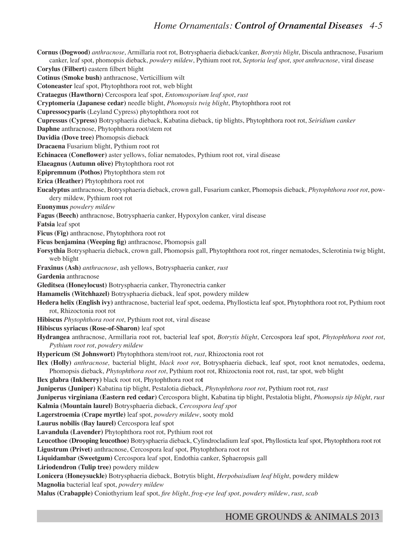#### *Home Ornamentals: Control of Ornamental Diseases 4-5*

**Cornus (Dogwood)** *anthracnose*, Armillaria root rot, Botrysphaeria dieback/canker, *Botrytis blight*, Discula anthracnose, Fusarium canker, leaf spot, phomopsis dieback, *powdery mildew*, Pythium root rot, *Septoria leaf spot*, *spot anthracnose*, viral disease **Corylus (Filbert)** eastern filbert blight **Cotinus (Smoke bush)** anthracnose, Verticillium wilt **Cotoneaster** leaf spot, Phytophthora root rot, web blight **Crataegus (Hawthorn)** Cercospora leaf spot, *Entomosporium leaf spot*, *rust* **Cryptomeria (Japanese cedar)** needle blight, *Phomopsis twig blight*, Phytophthora root rot **Cupressocyparis** (Leyland Cypress) phytophthora root rot **Cupressus (Cypress)** Botrysphaeria dieback, Kabatina dieback, tip blights, Phytophthora root rot, *Seiridium canker* **Daphne** anthracnose, Phytophthora root/stem rot **Davidia (Dove tree)** Phomopsis dieback **Dracaena** Fusarium blight, Pythium root rot **Echinacea (Coneflower)** aster yellows, foliar nematodes, Pythium root rot, viral disease **Elaeagnus (Autumn olive)** Phytophthora root rot **Epipremnum (Pothos)** Phytophthora stem rot **Erica (Heather)** Phytophthora root rot **Eucalyptus** anthracnose, Botrysphaeria dieback, crown gall, Fusarium canker, Phomopsis dieback, *Phytophthora root rot*, powdery mildew, Pythium root rot **Euonymus** *powdery mildew* **Fagus (Beech)** anthracnose, Botrysphaeria canker, Hypoxylon canker, viral disease **Fatsia** leaf spot **Ficus (Fig)** anthracnose, Phytophthora root rot **Ficus benjamina (Weeping fig)** anthracnose, Phomopsis gall **Forsythia** Botrysphaeria dieback, crown gall, Phomopsis gall, Phytophthora root rot, ringer nematodes, Sclerotinia twig blight, web blight **Fraxinus (Ash)** *anthracnose*, ash yellows, Botrysphaeria canker, *rust* **Gardenia** anthracnose **Gleditsea (Honeylocust)** Botrysphaeria canker, Thyronectria canker **Hamamelis (Witchhazel)** Botrysphaeria dieback, leaf spot, powdery mildew **Hedera helix (English ivy)** anthracnose, bacterial leaf spot, oedema, Phyllosticta leaf spot, Phytophthora root rot, Pythium root rot, Rhizoctonia root rot **Hibiscus** *Phytophthora root rot*, Pythium root rot, viral disease **Hibiscus syriacus (Rose-of-Sharon)** leaf spot **Hydrangea** anthracnose, Armillaria root rot, bacterial leaf spot, *Botrytis blight*, Cercospora leaf spot, *Phytophthora root rot*, *Pythium root rot*, *powdery mildew* **Hypericum (St Johnswort)** Phytophthora stem/root rot, *rust*, Rhizoctonia root rot **Ilex (Holly)** *anthracnose,* bacterial blight, *black root rot*, Botrysphaeria dieback, leaf spot, root knot nematodes, oedema, Phomopsis dieback, *Phytophthora root rot*, Pythium root rot, Rhizoctonia root rot, rust, tar spot, web blight **Ilex glabra (Inkberry)** black root rot, Phytophthora root ro**t Juniperus (Juniper)** Kabatina tip blight, Pestalotia dieback, *Phytophthora root rot*, Pythium root rot, *rust* **Juniperus virginiana (Eastern red cedar)** Cercospora blight, Kabatina tip blight, Pestalotia blight, *Phomopsis tip blight*, *rust* **Kalmia (Mountain laurel)** Botrysphaeria dieback, *Cercospora leaf spot* **Lagerstroemia (Crape myrtle)** leaf spot, *powdery mildew*, sooty mold **Laurus nobilis (Bay laurel)** Cercospora leaf spot **Lavandula (Lavender)** Phytophthora root rot, Pythium root rot **Leucothoe (Drooping leucothoe)** Botrysphaeria dieback, Cylindrocladium leaf spot, Phyllosticta leaf spot, Phytophthora root rot **Ligustrum (Privet)** anthracnose, Cercospora leaf spot, Phytophthora root rot **Liquidambar (Sweetgum)** Cercospora leaf spot, Endothia canker, Sphaeropsis gall **Liriodendron (Tulip tree)** powdery mildew **Lonicera (Honeysuckle)** Botrysphaeria dieback, Botrytis blight, *Herpobaisdium leaf blight*, powdery mildew **Magnolia** bacterial leaf spot, *powdery mildew* **Malus (Crabapple)** Coniothyrium leaf spot, *fire blight*, *frog-eye leaf spot*, *powdery mildew*, *rust*, *scab*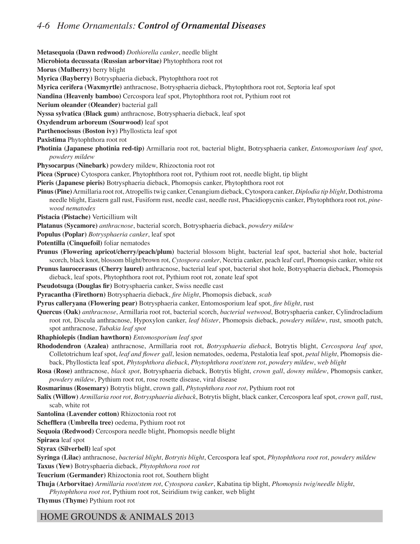### *4-6 Home Ornamentals: Control of Ornamental Diseases*

**Metasequoia (Dawn redwood)** *Dothiorella canker*, needle blight

**Microbiota decussata (Russian arborvitae)** Phytophthora root rot

**Morus (Mulberry)** berry blight

**Myrica (Bayberry)** Botrysphaeria dieback, Phytophthora root rot

**Myrica cerifera (Waxmyrtle)** anthracnose, Botrysphaeria dieback, Phytophthora root rot, Septoria leaf spot

**Nandina (Heavenly bamboo)** Cercospora leaf spot, Phytophthora root rot, Pythium root rot

**Nerium oleander (Oleander)** bacterial gall

**Nyssa sylvatica (Black gum)** anthracnose, Botrysphaeria dieback, leaf spot

**Oxydendrum arboreum (Sourwood)** leaf spot

**Parthenocissus (Boston ivy)** Phyllosticta leaf spot

- **Paxistima** Phytophthora root rot
- **Photinia (Japanese photinia red-tip)** Armillaria root rot, bacterial blight, Botrysphaeria canker, *Entomosporium leaf spot*, *powdery mildew*

**Physocarpus (Ninebark)** powdery mildew, Rhizoctonia root rot

**Picea (Spruce)** Cytospora canker, Phytophthora root rot, Pythium root rot, needle blight, tip blight

**Pieris (Japanese pieris)** Botrysphaeria dieback, Phomopsis canker, Phytophthora root rot

**Pinus (Pine)** Armillaria root rot, Atropellis twig canker, Cenangium dieback, Cytospora canker, *Diplodia tip blight*, Dothistroma needle blight, Eastern gall rust, Fusiform rust, needle cast, needle rust, Phacidiopycnis canker, Phytophthora root rot, *pinewood nematodes*

**Pistacia (Pistache)** Verticillium wilt

**Platanus (Sycamore)** *anthracnose*, bacterial scorch, Botrysphaeria dieback, *powdery mildew*

**Populus (Poplar)** *Botrysphaeria canker*, leaf spot

**Potentilla (Cinquefoil)** foliar nematodes

- **Prunus (Flowering apricot/cherry/peach/plum)** bacterial blossom blight, bacterial leaf spot, bacterial shot hole, bacterial scorch, black knot, blossom blight/brown rot, *Cytospora canker*, Nectria canker, peach leaf curl, Phomopsis canker, white rot
- **Prunus laurocerasus (Cherry laurel)** anthracnose, bacterial leaf spot, bacterial shot hole, Botrysphaeria dieback, Phomopsis dieback, leaf spots, Phytophthora root rot, Pythium root rot, zonate leaf spot

**Pseudotsuga (Douglas fir)** Botrysphaeria canker, Swiss needle cast

**Pyracantha (Firethorn)** Botrysphaeria dieback, *fire blight*, Phomopsis dieback, *scab*

**Pyrus calleryana (Flowering pear)** Botrysphaeria canker, Entomosporium leaf spot, *fire blight*, rust

**Quercus (Oak)** *anthracnose*, Armillaria root rot, bacterial scorch, *bacterial wetwood*, Botrysphaeria canker, Cylindrocladium root rot, Discula anthracnose, Hypoxylon canker, *leaf blister*, Phomopsis dieback, *powdery mildew*, rust, smooth patch, spot anthracnose, *Tubakia leaf spot*

**Rhaphiolepis (Indian hawthorn)** *Entomosporium leaf spot*

- **Rhododendron (Azalea)** anthracnose, Armillaria root rot, *Botrysphaeria dieback*, Botrytis blight, *Cercospora leaf spot*, Colletotrichum leaf spot, *leaf and flower gall*, lesion nematodes, oedema, Pestalotia leaf spot, *petal blight*, Phomopsis dieback, Phyllosticta leaf spot, *Phytophthora dieback*, *Phytophthora root/stem rot*, *powdery mildew*, *web blight*
- **Rosa (Rose)** anthracnose, *black spot*, Botrysphaeria dieback, Botrytis blight, *crown gall*, *downy mildew*, Phomopsis canker, *powdery mildew*, Pythium root rot, rose rosette disease, viral disease

**Rosmarinus (Rosemary)** Botrytis blight, crown gall, *Phytophthora root rot*, Pythium root rot

**Salix (Willow)** *Armillaria root rot*, *Botrysphaeria dieback*, Botrytis blight, black canker, Cercospora leaf spot, *crown gall*, rust, scab, white rot

**Santolina (Lavender cotton)** Rhizoctonia root rot

**Schefflera (Umbrella tree)** oedema, Pythium root rot

**Sequoia (Redwood)** Cercospora needle blight, Phomopsis needle blight

**Spiraea** leaf spot

**Styrax (Silverbell)** leaf spot

**Syringa (Lilac)** anthracnose, *bacterial blight*, *Botrytis blight*, Cercospora leaf spot, *Phytophthora root rot*, *powdery mildew* **Taxus (Yew)** Botrysphaeria dieback, *Phytophthora root rot*

**Teucrium (Germander)** Rhizoctonia root rot, Southern blight

**Thuja (Arborvitae)** *Armillaria root/stem rot*, *Cytospora canker*, Kabatina tip blight, *Phomopsis twig/needle blight*,

*Phytophthora root rot*, Pythium root rot, Seiridium twig canker, web blight

**Thymus (Thyme)** Pythium root rot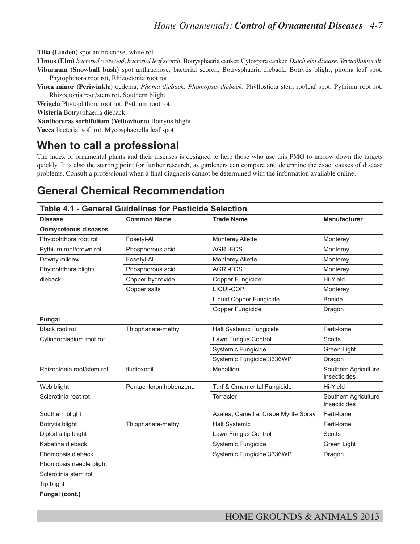**Tilia (Linden)** spot anthracnose, white rot

**Ulmus (Elm)** *bacterial wetwood*, *bacterial leaf scorch*, Botrysphaeria canker, Cytospora canker, *Dutch elm disease, Verticillium wilt* **Viburnum (Snowball bush)** spot anthracnose, bacterial scorch, Botrysphaeria dieback, Botrytis blight, phoma leaf spot, Phytophthora root rot, Rhizoctonia root rot

**Vinca minor (Periwinkle)** oedema, *Phoma dieback*, *Phomopsis dieback*, Phyllosticta stem rot/leaf spot, Pythium root rot, Rhizoctonia root/stem rot, Southern blight

**Weigela** Phytophthora root rot, Pythium root rot

**Wisteria** Botrysphaeria dieback

**Xanthoceras sorbifolium (Yellowhorn)** Botrytis blight

**Yucca** bacterial soft rot, Mycosphaerella leaf spot

## **When to call a professional**

The index of ornamental plants and their diseases is designed to help those who use this PMG to narrow down the targets quickly. It is also the starting point for further research, as gardeners can compare and determine the exact causes of disease problems. Consult a professional when a final diagnosis cannot be determined with the information available online.

## **General Chemical Recommendation**

| Table 4.1 - General Guidelines for Pesticide Selection |                         |                                      |                                      |  |  |
|--------------------------------------------------------|-------------------------|--------------------------------------|--------------------------------------|--|--|
| <b>Disease</b>                                         | <b>Common Name</b>      | <b>Trade Name</b>                    | <b>Manufacturer</b>                  |  |  |
| <b>Oomyceteous diseases</b>                            |                         |                                      |                                      |  |  |
| Phytophthora root rot                                  | Fosetyl-Al              | <b>Monterey Aliette</b>              | Monterey                             |  |  |
| Pythium root/crown rot                                 | Phosphorous acid        | <b>AGRI-FOS</b>                      | Monterey                             |  |  |
| Downy mildew                                           | Fosetyl-Al              | Monterey Aliette                     | Monterey                             |  |  |
| Phytophthora blight/                                   | Phosphorous acid        | <b>AGRI-FOS</b>                      | Monterey                             |  |  |
| dieback                                                | Copper hydroxide        | Copper Fungicide                     | Hi-Yield                             |  |  |
|                                                        | Copper salts            | LIQUI-COP                            | Monterey                             |  |  |
|                                                        |                         | <b>Liquid Copper Fungicide</b>       | <b>Bonide</b>                        |  |  |
|                                                        |                         | Copper Fungicide                     | Dragon                               |  |  |
| <b>Fungal</b>                                          |                         |                                      |                                      |  |  |
| Black root rot                                         | Thiophanate-methyl      | Halt Systemic Fungicide              | Ferti-lome                           |  |  |
| Cylindrocladium root rot                               |                         | Lawn Fungus Control                  | <b>Scotts</b>                        |  |  |
|                                                        |                         | Systemic Fungicide                   | Green Light                          |  |  |
|                                                        |                         | Systemic Fungicide 3336WP            | Dragon                               |  |  |
| Rhizoctonia root/stem rot                              | fludioxonil             | Medallion                            | Southern Agriculture<br>Insecticides |  |  |
| Web blight                                             | Pentachloronitrobenzene | Turf & Ornamental Fungicide          | Hi-Yield                             |  |  |
| Sclerotinia root rot                                   |                         | Terraclor                            | Southern Agriculture<br>Insecticides |  |  |
| Southern blight                                        |                         | Azalea, Camellia, Crape Myrtle Spray | Ferti-lome                           |  |  |
| Botrytis blight                                        | Thiophanate-methyl      | <b>Halt Systemic</b>                 | Ferti-lome                           |  |  |
| Diplodia tip blight                                    |                         | Lawn Fungus Control                  | <b>Scotts</b>                        |  |  |
| Kabatina dieback                                       |                         | Systemic Fungicide                   | Green Light                          |  |  |
| Phomopsis dieback                                      |                         | Systemic Fungicide 3336WP            | Dragon                               |  |  |
| Phomopsis needle blight                                |                         |                                      |                                      |  |  |
| Sclerotinia stem rot                                   |                         |                                      |                                      |  |  |
| Tip blight                                             |                         |                                      |                                      |  |  |
| Fungal (cont.)                                         |                         |                                      |                                      |  |  |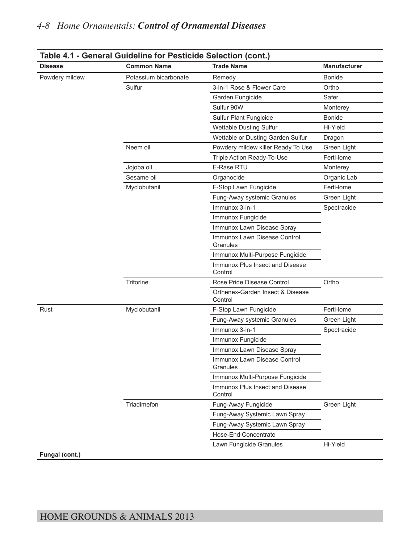| <b>Disease</b> | <b>Common Name</b>    | <b>Trade Name</b>                           | <b>Manufacturer</b> |
|----------------|-----------------------|---------------------------------------------|---------------------|
| Powdery mildew | Potassium bicarbonate | Remedy                                      | <b>Bonide</b>       |
|                | Sulfur                | 3-in-1 Rose & Flower Care                   | Ortho               |
|                |                       | Garden Fungicide                            | Safer               |
|                |                       | Sulfur 90W                                  | Monterey            |
|                |                       | Sulfur Plant Fungicide                      | <b>Bonide</b>       |
|                |                       | <b>Wettable Dusting Sulfur</b>              | Hi-Yield            |
|                |                       | Wettable or Dusting Garden Sulfur           | Dragon              |
|                | Neem oil              | Powdery mildew killer Ready To Use          | Green Light         |
|                |                       | Triple Action Ready-To-Use                  | Ferti-lome          |
|                | Jojoba oil            | E-Rase RTU                                  | Monterey            |
|                | Sesame oil            | Organocide                                  | Organic Lab         |
|                | Myclobutanil          | F-Stop Lawn Fungicide                       | Ferti-lome          |
|                |                       | Fung-Away systemic Granules                 | Green Light         |
|                |                       | Immunox 3-in-1                              | Spectracide         |
|                |                       | Immunox Fungicide                           |                     |
|                |                       | Immunox Lawn Disease Spray                  |                     |
|                |                       | Immunox Lawn Disease Control<br>Granules    |                     |
|                |                       | Immunox Multi-Purpose Fungicide             |                     |
|                |                       | Immunox Plus Insect and Disease<br>Control  |                     |
|                | Triforine             | Rose Pride Disease Control                  | Ortho               |
|                |                       | Orthenex-Garden Insect & Disease<br>Control |                     |
| Rust           | Myclobutanil          | F-Stop Lawn Fungicide                       | Ferti-lome          |
|                |                       | Fung-Away systemic Granules                 | Green Light         |
|                |                       | Immunox 3-in-1                              | Spectracide         |
|                |                       | Immunox Fungicide                           |                     |
|                |                       | Immunox Lawn Disease Spray                  |                     |
|                |                       | Immunox Lawn Disease Control<br>Granules    |                     |
|                |                       | Immunox Multi-Purpose Fungicide             |                     |
|                |                       | Immunox Plus Insect and Disease<br>Control  |                     |
|                | Triadimefon           | Fung-Away Fungicide                         | Green Light         |
|                |                       | Fung-Away Systemic Lawn Spray               |                     |
|                |                       | Fung-Away Systemic Lawn Spray               |                     |
|                |                       |                                             |                     |
|                |                       | Hose-End Concentrate                        |                     |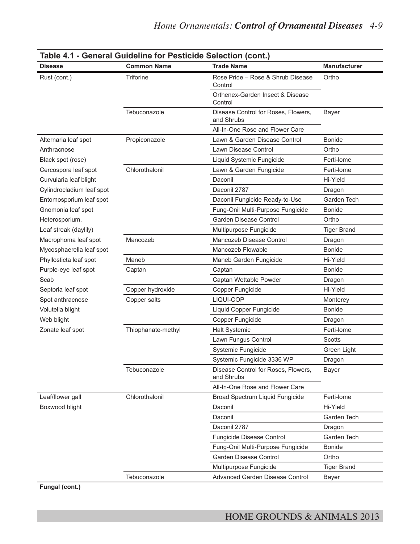| <b>Disease</b>            | <b>Common Name</b> | <b>Trade Name</b>                                 | <b>Manufacturer</b> |
|---------------------------|--------------------|---------------------------------------------------|---------------------|
| Rust (cont.)              | <b>Triforine</b>   | Rose Pride - Rose & Shrub Disease<br>Control      | Ortho               |
|                           |                    | Orthenex-Garden Insect & Disease<br>Control       |                     |
|                           | Tebuconazole       | Disease Control for Roses, Flowers,<br>and Shrubs | <b>Bayer</b>        |
|                           |                    | All-In-One Rose and Flower Care                   |                     |
| Alternaria leaf spot      | Propiconazole      | Lawn & Garden Disease Control                     | <b>Bonide</b>       |
| Anthracnose               |                    | Lawn Disease Control                              | Ortho               |
| Black spot (rose)         |                    | Liquid Systemic Fungicide                         | Ferti-lome          |
| Cercospora leaf spot      | Chlorothalonil     | Lawn & Garden Fungicide                           | Ferti-lome          |
| Curvularia leaf blight    |                    | Daconil                                           | Hi-Yield            |
| Cylindrocladium leaf spot |                    | Daconil 2787                                      | Dragon              |
| Entomosporium leaf spot   |                    | Daconil Fungicide Ready-to-Use                    | Garden Tech         |
| Gnomonia leaf spot        |                    | Fung-Onil Multi-Purpose Fungicide                 | <b>Bonide</b>       |
| Heterosporium,            |                    | Garden Disease Control                            | Ortho               |
| Leaf streak (daylily)     |                    | Multipurpose Fungicide                            | <b>Tiger Brand</b>  |
| Macrophoma leaf spot      | Mancozeb           | Mancozeb Disease Control                          | Dragon              |
| Mycosphaerella leaf spot  |                    | Mancozeb Flowable                                 | <b>Bonide</b>       |
| Phyllosticta leaf spot    | Maneb              | Maneb Garden Fungicide                            | Hi-Yield            |
| Purple-eye leaf spot      | Captan             | Captan                                            | <b>Bonide</b>       |
| Scab                      |                    | Captan Wettable Powder                            | Dragon              |
| Septoria leaf spot        | Copper hydroxide   | Copper Fungicide                                  | Hi-Yield            |
| Spot anthracnose          | Copper salts       | LIQUI-COP                                         | Monterey            |
| Volutella blight          |                    | Liquid Copper Fungicide                           | <b>Bonide</b>       |
| Web blight                |                    | Copper Fungicide                                  | Dragon              |
| Zonate leaf spot          | Thiophanate-methyl | <b>Halt Systemic</b>                              | Ferti-lome          |
|                           |                    | Lawn Fungus Control                               | <b>Scotts</b>       |
|                           |                    | Systemic Fungicide                                | Green Light         |
|                           |                    | Systemic Fungicide 3336 WP                        | Dragon              |
|                           | Tebuconazole       | Disease Control for Roses, Flowers,<br>and Shrubs | <b>Bayer</b>        |
|                           |                    | All-In-One Rose and Flower Care                   |                     |
| Leaf/flower gall          | Chlorothalonil     | Broad Spectrum Liquid Fungicide                   | Ferti-lome          |
| Boxwood blight            |                    | Daconil                                           | Hi-Yield            |
|                           |                    | Daconil                                           | Garden Tech         |
|                           |                    | Daconil 2787                                      | Dragon              |
|                           |                    | Fungicide Disease Control                         | Garden Tech         |
|                           |                    | Fung-Onil Multi-Purpose Fungicide                 | Bonide              |
|                           |                    | Garden Disease Control                            | Ortho               |
|                           |                    | Multipurpose Fungicide                            | <b>Tiger Brand</b>  |
|                           |                    |                                                   |                     |

**Table 4.1 - General Guideline for Pesticide Selection (cont.)**